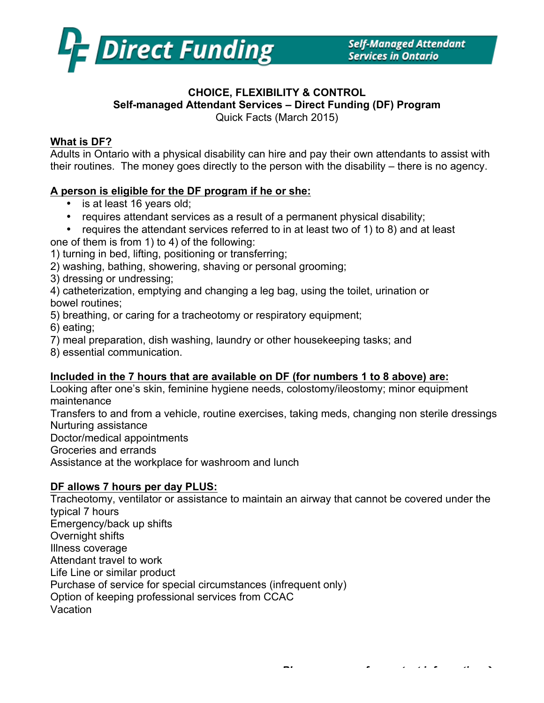

#### **CHOICE, FLEXIBILITY & CONTROL Self-managed Attendant Services – Direct Funding (DF) Program** Quick Facts (March 2015)

### **What is DF?**

Adults in Ontario with a physical disability can hire and pay their own attendants to assist with their routines. The money goes directly to the person with the disability – there is no agency.

### **A person is eligible for the DF program if he or she:**

- is at least 16 years old;
- requires attendant services as a result of a permanent physical disability;
- requires the attendant services referred to in at least two of 1) to 8) and at least
- one of them is from 1) to 4) of the following:
- 1) turning in bed, lifting, positioning or transferring;
- 2) washing, bathing, showering, shaving or personal grooming;
- 3) dressing or undressing;

4) catheterization, emptying and changing a leg bag, using the toilet, urination or bowel routines;

- 5) breathing, or caring for a tracheotomy or respiratory equipment;
- 6) eating;
- 7) meal preparation, dish washing, laundry or other housekeeping tasks; and
- 8) essential communication.

## **Included in the 7 hours that are available on DF (for numbers 1 to 8 above) are:**

Looking after one's skin, feminine hygiene needs, colostomy/ileostomy; minor equipment maintenance

Transfers to and from a vehicle, routine exercises, taking meds, changing non sterile dressings Nurturing assistance

Doctor/medical appointments

Groceries and errands

Assistance at the workplace for washroom and lunch

## **DF allows 7 hours per day PLUS:**

Tracheotomy, ventilator or assistance to maintain an airway that cannot be covered under the typical 7 hours Emergency/back up shifts Overnight shifts Illness coverage Attendant travel to work Life Line or similar product Purchase of service for special circumstances (infrequent only) Option of keeping professional services from CCAC Vacation